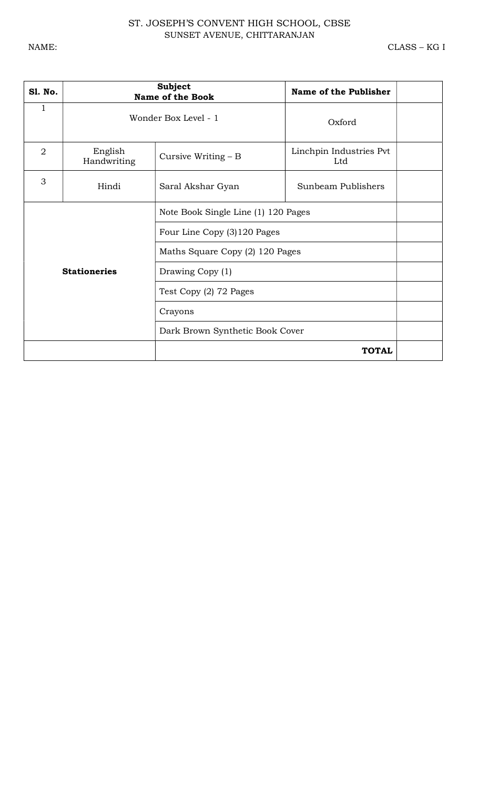## ST. JOSEPH'S CONVENT HIGH SCHOOL, CBSE SUNSET AVENUE, CHITTARANJAN

| <b>S1. No.</b> |                        | <b>Subject</b><br><b>Name of the Book</b> | Name of the Publisher          |
|----------------|------------------------|-------------------------------------------|--------------------------------|
| $\mathbf{1}$   |                        | Wonder Box Level - 1                      | Oxford                         |
| $\overline{2}$ | English<br>Handwriting | Cursive Writing $- B$                     | Linchpin Industries Pvt<br>Ltd |
| 3              | Hindi                  | Saral Akshar Gyan                         | Sunbeam Publishers             |
|                |                        | Note Book Single Line (1) 120 Pages       |                                |
|                |                        | Four Line Copy (3)120 Pages               |                                |
|                |                        | Maths Square Copy (2) 120 Pages           |                                |
|                | <b>Stationeries</b>    | Drawing Copy (1)                          |                                |
|                |                        | Test Copy (2) 72 Pages                    |                                |
|                |                        | Crayons                                   |                                |
|                |                        | Dark Brown Synthetic Book Cover           |                                |
|                |                        |                                           | <b>TOTAL</b>                   |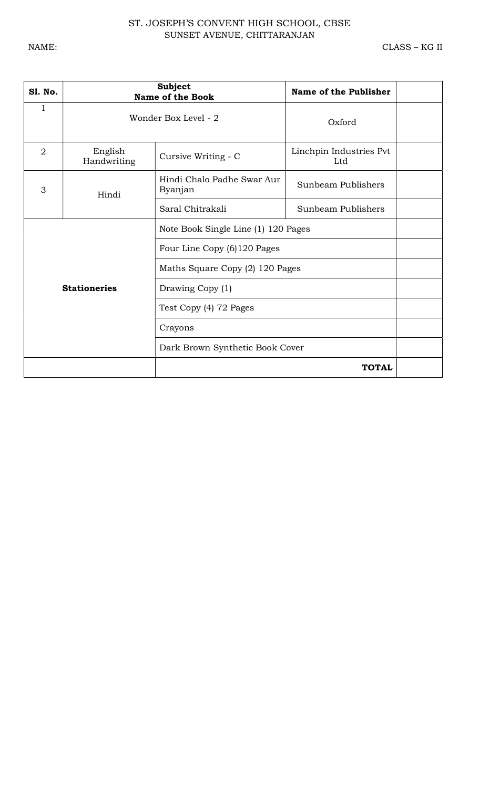## ST. JOSEPH'S CONVENT HIGH SCHOOL, CBSE SUNSET AVENUE, CHITTARANJAN

| <b>S1. No.</b> |                        | <b>Subject</b><br><b>Name of the Book</b> | Name of the Publisher          |
|----------------|------------------------|-------------------------------------------|--------------------------------|
| $\mathbf{1}$   |                        | Wonder Box Level - 2                      | Oxford                         |
| $\overline{2}$ | English<br>Handwriting | Cursive Writing - C                       | Linchpin Industries Pvt<br>Ltd |
| 3              | Hindi                  | Hindi Chalo Padhe Swar Aur<br>Byanjan     | Sunbeam Publishers             |
|                |                        | Saral Chitrakali                          | Sunbeam Publishers             |
|                |                        | Note Book Single Line (1) 120 Pages       |                                |
|                |                        | Four Line Copy (6)120 Pages               |                                |
|                |                        | Maths Square Copy (2) 120 Pages           |                                |
|                | <b>Stationeries</b>    | Drawing Copy (1)                          |                                |
|                |                        | Test Copy (4) 72 Pages                    |                                |
|                |                        | Crayons                                   |                                |
|                |                        | Dark Brown Synthetic Book Cover           |                                |
|                |                        |                                           | <b>TOTAL</b>                   |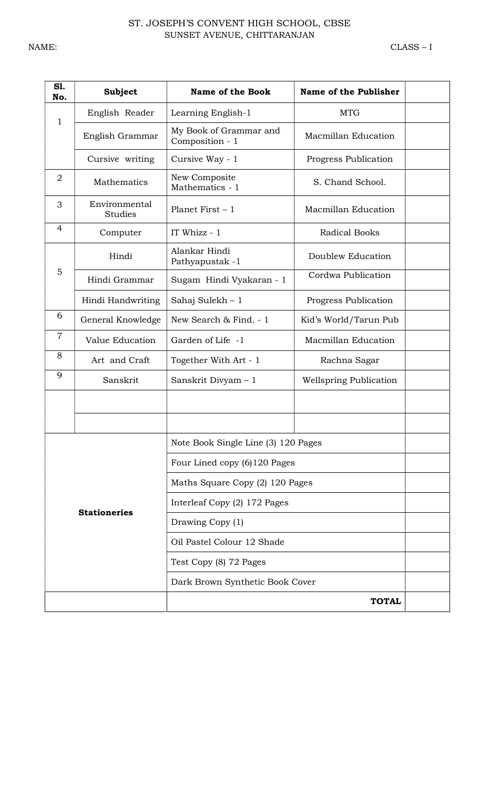| S1.<br>No.                      | <b>Subject</b>                  | <b>Name of the Book</b>                              | Name of the Publisher         |
|---------------------------------|---------------------------------|------------------------------------------------------|-------------------------------|
|                                 | English Reader                  | Learning English-1                                   | <b>MTG</b>                    |
| $\mathbf{1}$<br>English Grammar |                                 | My Book of Grammar and<br>Composition - 1            | Macmillan Education           |
|                                 | Cursive writing                 | Cursive Way - 1                                      | Progress Publication          |
| $\overline{2}$                  | Mathematics                     | New Composite<br>S. Chand School.<br>Mathematics - 1 |                               |
| 3                               | Environmental<br><b>Studies</b> | Planet First $-1$                                    | Macmillan Education           |
| $\overline{4}$                  | Computer                        | IT Whizz - 1                                         | <b>Radical Books</b>          |
|                                 | Hindi                           | Alankar Hindi<br>Pathyapustak -1                     | Doublew Education             |
| 5                               | Hindi Grammar                   | Sugam Hindi Vyakaran - 1                             | Cordwa Publication            |
|                                 | Hindi Handwriting               | Sahaj Sulekh - 1                                     | Progress Publication          |
| 6                               | General Knowledge               | New Search & Find. - 1                               | Kid's World/Tarun Pub         |
| $\overline{7}$                  | Value Education                 | Garden of Life -1                                    | Macmillan Education           |
| 8                               | Art and Craft                   | Together With Art - 1                                | Rachna Sagar                  |
| 9                               | Sanskrit<br>Sanskrit Divyam - 1 |                                                      | <b>Wellspring Publication</b> |
|                                 |                                 |                                                      |                               |
|                                 |                                 |                                                      |                               |
|                                 |                                 | Note Book Single Line (3) 120 Pages                  |                               |
|                                 |                                 | Four Lined copy (6)120 Pages                         |                               |
|                                 |                                 | Maths Square Copy (2) 120 Pages                      |                               |
|                                 |                                 | Interleaf Copy (2) 172 Pages                         |                               |
| <b>Stationeries</b>             |                                 | Drawing Copy (1)                                     |                               |
|                                 |                                 | Oil Pastel Colour 12 Shade                           |                               |
|                                 |                                 | Test Copy (8) 72 Pages                               |                               |
|                                 |                                 | Dark Brown Synthetic Book Cover                      |                               |
|                                 |                                 |                                                      | <b>TOTAL</b>                  |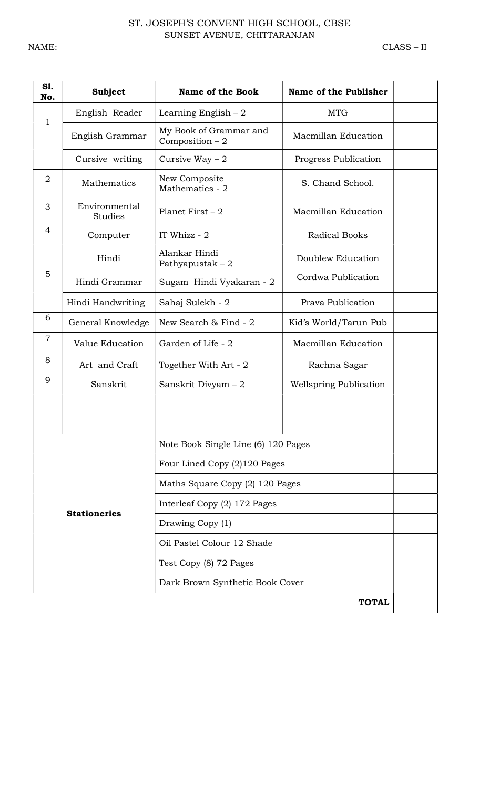| S1.<br>No.          | <b>Subject</b>                                                      | <b>Name of the Book</b>                    | Name of the Publisher         |  |
|---------------------|---------------------------------------------------------------------|--------------------------------------------|-------------------------------|--|
| $\mathbf{1}$        | English Reader                                                      | Learning English $-2$                      | <b>MTG</b>                    |  |
| English Grammar     |                                                                     | My Book of Grammar and<br>Composition $-2$ | Macmillan Education           |  |
|                     | Cursive writing                                                     | Cursive Way $-2$                           | Progress Publication          |  |
| $\overline{2}$      | New Composite<br>Mathematics<br>S. Chand School.<br>Mathematics - 2 |                                            |                               |  |
| 3                   | Environmental<br><b>Studies</b>                                     | Planet First $-2$                          | Macmillan Education           |  |
| 4                   | Computer                                                            | IT Whizz - 2                               | <b>Radical Books</b>          |  |
|                     | Hindi                                                               | Alankar Hindi<br>Pathyapustak $-2$         | Doublew Education             |  |
| 5                   | Hindi Grammar                                                       | Sugam Hindi Vyakaran - 2                   | Cordwa Publication            |  |
|                     | Hindi Handwriting                                                   | Sahaj Sulekh - 2                           | Prava Publication             |  |
| 6                   | General Knowledge                                                   | New Search & Find - 2                      | Kid's World/Tarun Pub         |  |
| $\overline{7}$      | Value Education                                                     | Garden of Life - 2                         | Macmillan Education           |  |
| 8                   | Together With Art - 2<br>Art and Craft                              |                                            | Rachna Sagar                  |  |
| 9                   | Sanskrit<br>Sanskrit Divyam - 2                                     |                                            | <b>Wellspring Publication</b> |  |
|                     |                                                                     |                                            |                               |  |
|                     |                                                                     |                                            |                               |  |
|                     |                                                                     | Note Book Single Line (6) 120 Pages        |                               |  |
|                     |                                                                     | Four Lined Copy (2)120 Pages               |                               |  |
|                     |                                                                     | Maths Square Copy (2) 120 Pages            |                               |  |
|                     |                                                                     | Interleaf Copy (2) 172 Pages               |                               |  |
| <b>Stationeries</b> |                                                                     | Drawing Copy (1)                           |                               |  |
|                     |                                                                     | Oil Pastel Colour 12 Shade                 |                               |  |
|                     |                                                                     | Test Copy (8) 72 Pages                     |                               |  |
|                     |                                                                     | Dark Brown Synthetic Book Cover            |                               |  |
|                     |                                                                     | <b>TOTAL</b>                               |                               |  |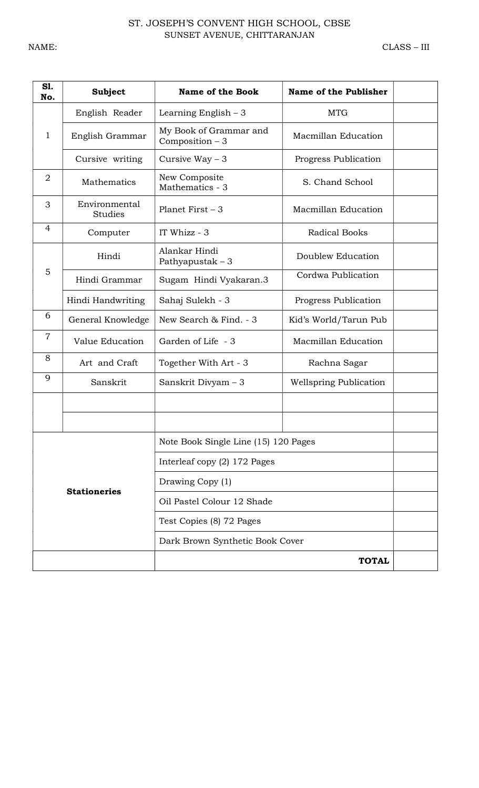| SI.<br>No.     | Subject                                     | Name of the Book                           | Name of the Publisher         |  |
|----------------|---------------------------------------------|--------------------------------------------|-------------------------------|--|
|                | English Reader                              | Learning English $-3$                      | <b>MTG</b>                    |  |
| $\mathbf{1}$   | English Grammar                             | My Book of Grammar and<br>Composition $-3$ | Macmillan Education           |  |
|                | Cursive writing                             | Cursive Way $-3$                           | Progress Publication          |  |
| $\overline{2}$ | Mathematics                                 | New Composite<br>Mathematics - 3           | S. Chand School               |  |
| 3              | Environmental<br><b>Studies</b>             | Planet First $-3$                          | Macmillan Education           |  |
| 4              | Computer                                    | IT Whizz - 3                               | <b>Radical Books</b>          |  |
|                | Hindi                                       | Alankar Hindi<br>Pathyapustak $-3$         | Doublew Education             |  |
| 5              | Hindi Grammar                               | Sugam Hindi Vyakaran.3                     | Cordwa Publication            |  |
|                | Hindi Handwriting                           | Sahaj Sulekh - 3                           | Progress Publication          |  |
| 6              | General Knowledge<br>New Search & Find. - 3 |                                            | Kid's World/Tarun Pub         |  |
| $\overline{7}$ | Value Education                             | Garden of Life - 3                         | <b>Macmillan Education</b>    |  |
| 8              | Art and Craft                               | Together With Art - 3                      | Rachna Sagar                  |  |
| 9              | Sanskrit                                    | Sanskrit Divyam - 3                        | <b>Wellspring Publication</b> |  |
|                |                                             |                                            |                               |  |
|                |                                             |                                            |                               |  |
|                |                                             | Note Book Single Line (15) 120 Pages       |                               |  |
|                |                                             | Interleaf copy (2) 172 Pages               |                               |  |
|                |                                             | Drawing Copy (1)                           |                               |  |
|                | <b>Stationeries</b>                         | Oil Pastel Colour 12 Shade                 |                               |  |
|                |                                             | Test Copies (8) 72 Pages                   |                               |  |
|                |                                             | Dark Brown Synthetic Book Cover            |                               |  |
|                | <b>TOTAL</b>                                |                                            |                               |  |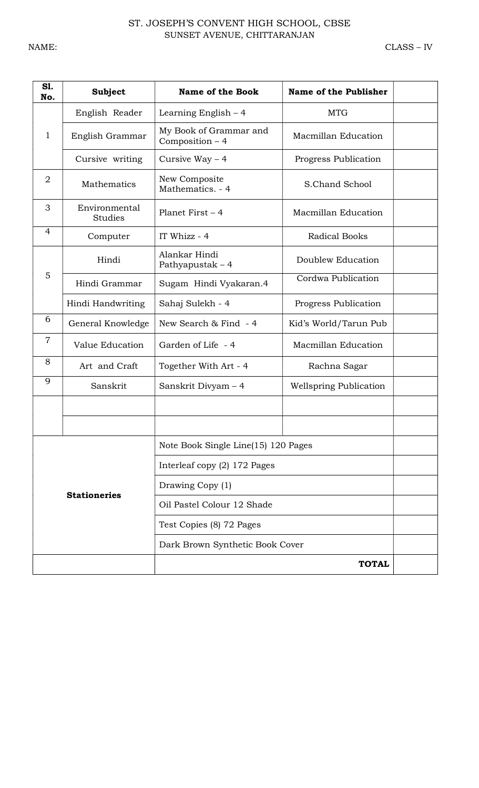| SI.<br>No.     | <b>Subject</b>                             | <b>Name of the Book</b>                             | Name of the Publisher         |  |
|----------------|--------------------------------------------|-----------------------------------------------------|-------------------------------|--|
|                | English Reader                             | Learning English $-4$                               | <b>MTG</b>                    |  |
| $\mathbf{1}$   | English Grammar                            | My Book of Grammar and<br>Composition - 4           | Macmillan Education           |  |
|                | Cursive writing                            | Cursive Way $-4$                                    | Progress Publication          |  |
| $\overline{2}$ | <b>Mathematics</b>                         | New Composite<br>S.Chand School<br>Mathematics. - 4 |                               |  |
| 3              | Environmental<br><b>Studies</b>            | Planet First $-4$                                   | Macmillan Education           |  |
| 4              | Computer                                   | IT Whizz - 4                                        | <b>Radical Books</b>          |  |
|                | Alankar Hindi<br>Hindi<br>Pathyapustak - 4 |                                                     | Doublew Education             |  |
| 5              | Hindi Grammar                              | Sugam Hindi Vyakaran.4                              | Cordwa Publication            |  |
|                | Hindi Handwriting                          | Sahaj Sulekh - 4                                    | Progress Publication          |  |
| 6              | General Knowledge                          | New Search & Find - 4                               | Kid's World/Tarun Pub         |  |
| $\overline{7}$ | Garden of Life - 4<br>Value Education      |                                                     | Macmillan Education           |  |
| 8              | Art and Craft                              | Together With Art - 4                               | Rachna Sagar                  |  |
| 9              | Sanskrit                                   | Sanskrit Divyam - 4                                 | <b>Wellspring Publication</b> |  |
|                |                                            |                                                     |                               |  |
|                |                                            |                                                     |                               |  |
|                |                                            | Note Book Single Line(15) 120 Pages                 |                               |  |
|                |                                            | Interleaf copy (2) 172 Pages                        |                               |  |
|                | <b>Stationeries</b>                        | Drawing Copy (1)                                    |                               |  |
|                |                                            | Oil Pastel Colour 12 Shade                          |                               |  |
|                |                                            | Test Copies (8) 72 Pages                            |                               |  |
|                |                                            | Dark Brown Synthetic Book Cover                     |                               |  |
| <b>TOTAL</b>   |                                            |                                                     |                               |  |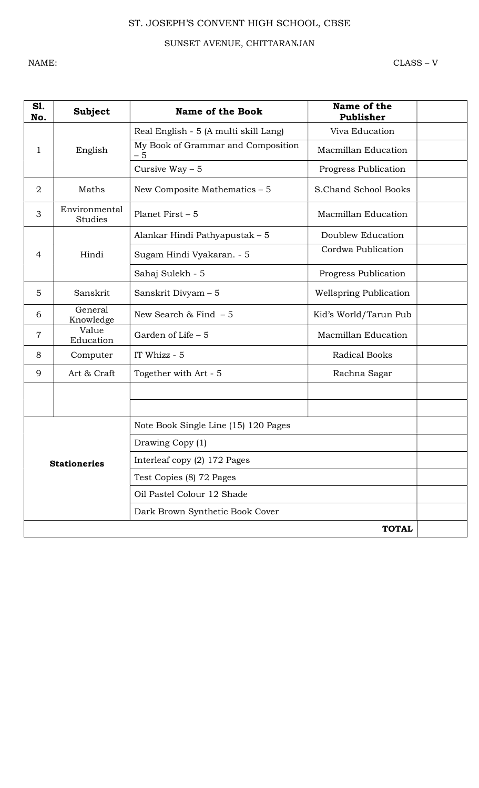## SUNSET AVENUE, CHITTARANJAN

NAME: CLASS – V

| <b>S1.</b><br>No. | <b>Subject</b>           | <b>Name of the Book</b>                    | Name of the<br>Publisher      |  |
|-------------------|--------------------------|--------------------------------------------|-------------------------------|--|
|                   |                          | Real English - 5 (A multi skill Lang)      | Viva Education                |  |
| 1                 | English                  | My Book of Grammar and Composition<br>$-5$ | <b>Macmillan Education</b>    |  |
|                   |                          | Cursive Way $-5$                           | Progress Publication          |  |
| $\overline{2}$    | Maths                    | New Composite Mathematics $-5$             | S.Chand School Books          |  |
| 3                 | Environmental<br>Studies | Planet First $-5$                          | Macmillan Education           |  |
|                   |                          | Alankar Hindi Pathyapustak - 5             | Doublew Education             |  |
| $\overline{4}$    | Hindi                    | Sugam Hindi Vyakaran. - 5                  | Cordwa Publication            |  |
|                   |                          | Sahaj Sulekh - 5                           | Progress Publication          |  |
| 5                 | Sanskrit                 | Sanskrit Divyam - 5                        | <b>Wellspring Publication</b> |  |
| 6                 | General<br>Knowledge     | New Search & Find $-5$                     | Kid's World/Tarun Pub         |  |
| $\overline{7}$    | Value<br>Education       | Garden of Life - 5                         | Macmillan Education           |  |
| 8                 | Computer                 | IT Whizz - 5                               | <b>Radical Books</b>          |  |
| 9                 | Art & Craft              | Together with Art - 5                      | Rachna Sagar                  |  |
|                   |                          |                                            |                               |  |
|                   |                          |                                            |                               |  |
|                   |                          | Note Book Single Line (15) 120 Pages       |                               |  |
|                   |                          | Drawing Copy (1)                           |                               |  |
|                   | <b>Stationeries</b>      | Interleaf copy (2) 172 Pages               |                               |  |
|                   |                          | Test Copies (8) 72 Pages                   |                               |  |
|                   |                          | Oil Pastel Colour 12 Shade                 |                               |  |
|                   |                          | Dark Brown Synthetic Book Cover            |                               |  |
| <b>TOTAL</b>      |                          |                                            |                               |  |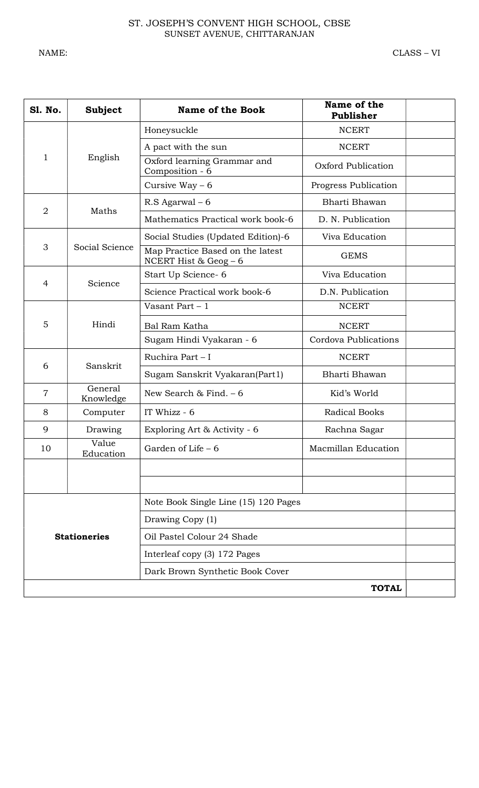| <b>S1. No.</b> | <b>Subject</b>       | <b>Name of the Book</b>                                    | Name of the<br>Publisher |  |
|----------------|----------------------|------------------------------------------------------------|--------------------------|--|
|                |                      | Honeysuckle                                                | <b>NCERT</b>             |  |
|                |                      | A pact with the sun                                        | <b>NCERT</b>             |  |
| 1              | English              | Oxford learning Grammar and<br>Composition - 6             | Oxford Publication       |  |
|                |                      | Cursive Way $-6$                                           | Progress Publication     |  |
| $\overline{2}$ | Maths                | $R.S$ Agarwal – 6                                          | Bharti Bhawan            |  |
|                |                      | Mathematics Practical work book-6                          | D. N. Publication        |  |
|                |                      | Social Studies (Updated Edition)-6                         | Viva Education           |  |
| 3              | Social Science       | Map Practice Based on the latest<br>NCERT Hist & Geog $-6$ | <b>GEMS</b>              |  |
| 4              | Science              | Start Up Science- 6                                        | Viva Education           |  |
|                |                      | Science Practical work book-6                              | D.N. Publication         |  |
|                |                      | Vasant Part $-1$                                           | <b>NCERT</b>             |  |
| 5              | Hindi                | Bal Ram Katha                                              | <b>NCERT</b>             |  |
|                |                      | Sugam Hindi Vyakaran - 6                                   | Cordova Publications     |  |
|                | Sanskrit             | Ruchira Part - I                                           | <b>NCERT</b>             |  |
| 6              |                      | Sugam Sanskrit Vyakaran(Part1)                             | Bharti Bhawan            |  |
| $\overline{7}$ | General<br>Knowledge | New Search & Find. $-6$                                    | Kid's World              |  |
| 8              | Computer             | IT Whizz - 6                                               | <b>Radical Books</b>     |  |
| 9              | Drawing              | Exploring Art & Activity - 6                               | Rachna Sagar             |  |
| 10             | Value<br>Education   | Garden of Life - 6                                         | Macmillan Education      |  |
|                |                      |                                                            |                          |  |
|                |                      |                                                            |                          |  |
|                |                      | Note Book Single Line (15) 120 Pages                       |                          |  |
|                |                      | Drawing Copy (1)                                           |                          |  |
|                | <b>Stationeries</b>  | Oil Pastel Colour 24 Shade                                 |                          |  |
|                |                      | Interleaf copy (3) 172 Pages                               |                          |  |
|                |                      | Dark Brown Synthetic Book Cover                            |                          |  |
| <b>TOTAL</b>   |                      |                                                            |                          |  |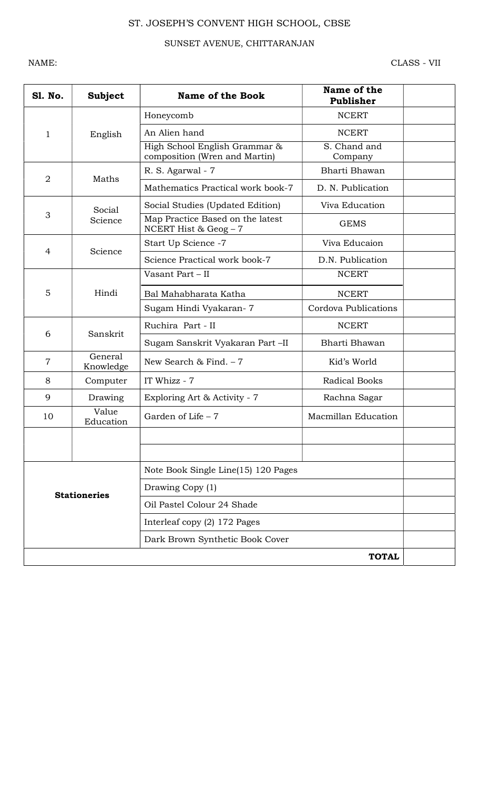## SUNSET AVENUE, CHITTARANJAN

NAME: CLASS - VII

| <b>S1. No.</b>      | <b>Subject</b>       | <b>Name of the Book</b>                                        | Name of the<br>Publisher |  |
|---------------------|----------------------|----------------------------------------------------------------|--------------------------|--|
|                     |                      | Honeycomb                                                      | <b>NCERT</b>             |  |
| 1                   | English              | An Alien hand                                                  | <b>NCERT</b>             |  |
|                     |                      | High School English Grammar &<br>composition (Wren and Martin) | S. Chand and<br>Company  |  |
| $\overline{2}$      | Maths                | R. S. Agarwal - 7                                              | Bharti Bhawan            |  |
|                     |                      | Mathematics Practical work book-7                              | D. N. Publication        |  |
|                     | Social               | Social Studies (Updated Edition)                               | Viva Education           |  |
| 3                   | Science              | Map Practice Based on the latest<br>NCERT Hist & $Geog - 7$    | <b>GEMS</b>              |  |
| 4                   | Science              | Start Up Science -7                                            | Viva Educaion            |  |
|                     |                      | Science Practical work book-7                                  | D.N. Publication         |  |
|                     | Hindi                | Vasant Part - II                                               | <b>NCERT</b>             |  |
| 5                   |                      | Bal Mahabharata Katha                                          | <b>NCERT</b>             |  |
|                     |                      | Sugam Hindi Vyakaran-7                                         | Cordova Publications     |  |
| 6                   | Sanskrit             | Ruchira Part - II                                              | <b>NCERT</b>             |  |
|                     |                      | Sugam Sanskrit Vyakaran Part -II                               | Bharti Bhawan            |  |
| $\overline{7}$      | General<br>Knowledge | New Search & Find. $-7$                                        | Kid's World              |  |
| 8                   | Computer             | IT Whizz - 7                                                   | Radical Books            |  |
| 9                   | Drawing              | Exploring Art & Activity - 7                                   | Rachna Sagar             |  |
| 10                  | Value<br>Education   | Garden of Life $-7$                                            | Macmillan Education      |  |
|                     |                      |                                                                |                          |  |
|                     |                      |                                                                |                          |  |
| <b>Stationeries</b> |                      | Note Book Single Line(15) 120 Pages                            |                          |  |
|                     |                      | Drawing Copy (1)                                               |                          |  |
|                     |                      | Oil Pastel Colour 24 Shade                                     |                          |  |
|                     |                      | Interleaf copy (2) 172 Pages                                   |                          |  |
|                     |                      | Dark Brown Synthetic Book Cover                                |                          |  |
|                     |                      |                                                                | <b>TOTAL</b>             |  |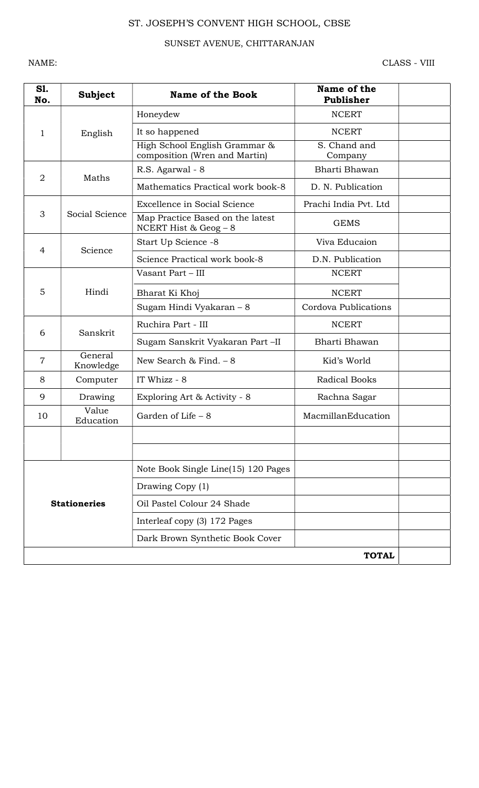## SUNSET AVENUE, CHITTARANJAN

NAME: CLASS - VIII

| S1.<br>No.     | <b>Subject</b>       | <b>Name of the Book</b>                                        | Name of the<br>Publisher |  |
|----------------|----------------------|----------------------------------------------------------------|--------------------------|--|
|                |                      | Honeydew                                                       | <b>NCERT</b>             |  |
| 1              | English              | It so happened                                                 | <b>NCERT</b>             |  |
|                |                      | High School English Grammar &<br>composition (Wren and Martin) | S. Chand and<br>Company  |  |
| $\overline{2}$ | Maths                | R.S. Agarwal - 8                                               | Bharti Bhawan            |  |
|                |                      | Mathematics Practical work book-8                              | D. N. Publication        |  |
|                |                      | Excellence in Social Science                                   | Prachi India Pvt. Ltd    |  |
| 3              | Social Science       | Map Practice Based on the latest<br>NCERT Hist & Geog $-8$     | <b>GEMS</b>              |  |
| $\overline{4}$ | Science              | Start Up Science -8                                            | Viva Educaion            |  |
|                |                      | Science Practical work book-8                                  | D.N. Publication         |  |
|                |                      | Vasant Part - III                                              | <b>NCERT</b>             |  |
| 5              | Hindi                | Bharat Ki Khoj                                                 | <b>NCERT</b>             |  |
|                |                      | Sugam Hindi Vyakaran - 8                                       | Cordova Publications     |  |
| 6              | Sanskrit             | Ruchira Part - III                                             | <b>NCERT</b>             |  |
|                |                      | Sugam Sanskrit Vyakaran Part -II                               | Bharti Bhawan            |  |
| $\overline{7}$ | General<br>Knowledge | New Search & Find. $-8$                                        | Kid's World              |  |
| 8              | Computer             | IT Whizz - 8                                                   | Radical Books            |  |
| 9              | Drawing              | Exploring Art & Activity - 8                                   | Rachna Sagar             |  |
| 10             | Value<br>Education   | Garden of Life - 8                                             | MacmillanEducation       |  |
|                |                      |                                                                |                          |  |
|                |                      |                                                                |                          |  |
|                |                      | Note Book Single Line(15) 120 Pages                            |                          |  |
|                |                      | Drawing Copy (1)                                               |                          |  |
|                | <b>Stationeries</b>  | Oil Pastel Colour 24 Shade                                     |                          |  |
|                |                      | Interleaf copy (3) 172 Pages                                   |                          |  |
|                |                      | Dark Brown Synthetic Book Cover                                |                          |  |
|                |                      |                                                                | <b>TOTAL</b>             |  |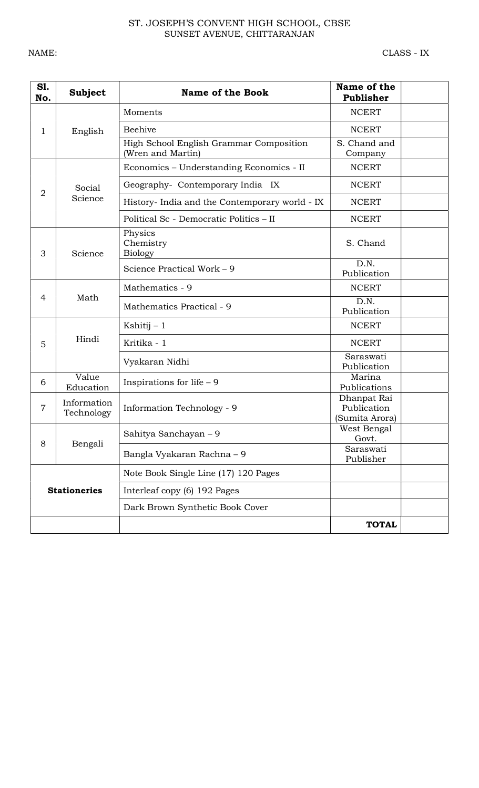#### ST. JOSEPH'S CONVENT HIGH SCHOOL, CBSE SUNSET AVENUE, CHITTARANJAN

| S1.<br>No.     | <b>Subject</b>            | <b>Name of the Book</b>                                      | Name of the<br>Publisher                     |  |
|----------------|---------------------------|--------------------------------------------------------------|----------------------------------------------|--|
|                |                           | Moments                                                      | <b>NCERT</b>                                 |  |
| 1              | English                   | <b>Beehive</b>                                               | <b>NCERT</b>                                 |  |
|                |                           | High School English Grammar Composition<br>(Wren and Martin) | S. Chand and<br>Company                      |  |
|                |                           | Economics - Understanding Economics - II                     | <b>NCERT</b>                                 |  |
|                | Social                    | Geography- Contemporary India IX                             | <b>NCERT</b>                                 |  |
| $\overline{2}$ | Science                   | History- India and the Contemporary world - IX               | <b>NCERT</b>                                 |  |
|                |                           | Political Sc - Democratic Politics – II                      | <b>NCERT</b>                                 |  |
| 3              | Science                   | Physics<br>Chemistry<br><b>Biology</b>                       | S. Chand                                     |  |
|                |                           | Science Practical Work - 9                                   | D.N.<br>Publication                          |  |
|                | Math                      | Mathematics - 9                                              | <b>NCERT</b>                                 |  |
| 4              |                           | Mathematics Practical - 9                                    | D.N.<br>Publication                          |  |
|                | Hindi                     | Kshitij $-1$                                                 | <b>NCERT</b>                                 |  |
| 5              |                           | Kritika - 1                                                  | <b>NCERT</b>                                 |  |
|                |                           | Vyakaran Nidhi                                               | Saraswati<br>Publication                     |  |
| 6              | Value<br>Education        | Inspirations for life $-9$                                   | Marina<br>Publications                       |  |
| $\overline{7}$ | Information<br>Technology | <b>Information Technology - 9</b>                            | Dhanpat Rai<br>Publication<br>(Sumita Arora) |  |
|                |                           | Sahitya Sanchayan - 9                                        | West Bengal<br>Govt.                         |  |
| 8<br>Bengali   |                           | Bangla Vyakaran Rachna - 9                                   | Saraswati<br>Publisher                       |  |
|                |                           | Note Book Single Line (17) 120 Pages                         |                                              |  |
|                | <b>Stationeries</b>       | Interleaf copy (6) 192 Pages                                 |                                              |  |
|                |                           | Dark Brown Synthetic Book Cover                              |                                              |  |
|                |                           |                                                              | <b>TOTAL</b>                                 |  |